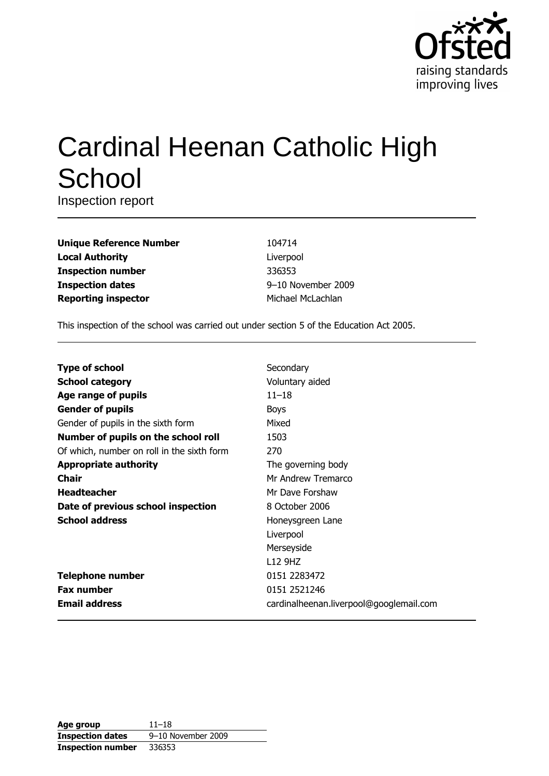

# **Cardinal Heenan Catholic High** School

Inspection report

| <b>Unique Reference Number</b> |
|--------------------------------|
| <b>Local Authority</b>         |
| <b>Inspection number</b>       |
| <b>Inspection dates</b>        |
| <b>Reporting inspector</b>     |

104714 Liverpool 336353 9-10 November 2009 Michael McLachlan

This inspection of the school was carried out under section 5 of the Education Act 2005.

| <b>Type of school</b>                      | Secondary                               |
|--------------------------------------------|-----------------------------------------|
| <b>School category</b>                     | Voluntary aided                         |
| Age range of pupils                        | $11 - 18$                               |
| <b>Gender of pupils</b>                    | <b>Boys</b>                             |
| Gender of pupils in the sixth form         | Mixed                                   |
| Number of pupils on the school roll        | 1503                                    |
| Of which, number on roll in the sixth form | 270                                     |
| <b>Appropriate authority</b>               | The governing body                      |
| Chair                                      | Mr Andrew Tremarco                      |
| <b>Headteacher</b>                         | Mr Dave Forshaw                         |
| Date of previous school inspection         | 8 October 2006                          |
| <b>School address</b>                      | Honeysgreen Lane                        |
|                                            | Liverpool                               |
|                                            | Merseyside                              |
|                                            | L <sub>12</sub> 9H <sub>Z</sub>         |
| <b>Telephone number</b>                    | 0151 2283472                            |
| <b>Fax number</b>                          | 0151 2521246                            |
| <b>Email address</b>                       | cardinalheenan.liverpool@googlemail.com |

| Age group                | $11 - 18$          |
|--------------------------|--------------------|
| <b>Inspection dates</b>  | 9-10 November 2009 |
| <b>Inspection number</b> | 336353             |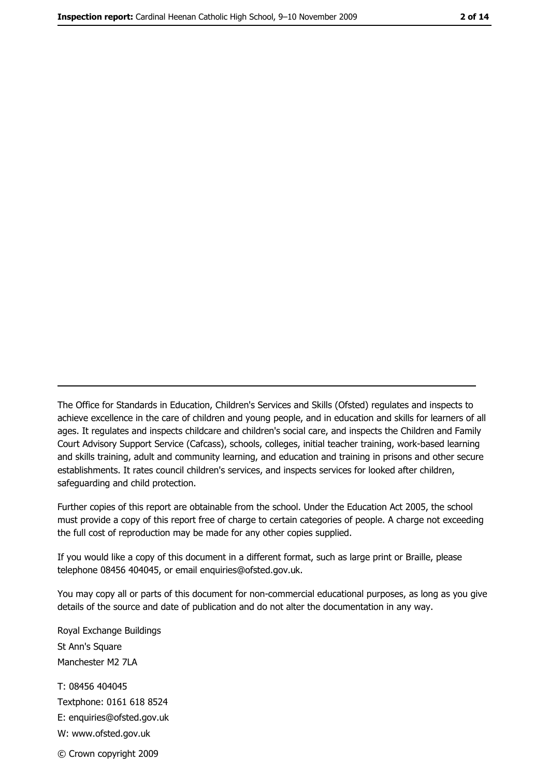The Office for Standards in Education, Children's Services and Skills (Ofsted) regulates and inspects to achieve excellence in the care of children and young people, and in education and skills for learners of all ages. It regulates and inspects childcare and children's social care, and inspects the Children and Family Court Advisory Support Service (Cafcass), schools, colleges, initial teacher training, work-based learning and skills training, adult and community learning, and education and training in prisons and other secure establishments. It rates council children's services, and inspects services for looked after children, safequarding and child protection.

Further copies of this report are obtainable from the school. Under the Education Act 2005, the school must provide a copy of this report free of charge to certain categories of people. A charge not exceeding the full cost of reproduction may be made for any other copies supplied.

If you would like a copy of this document in a different format, such as large print or Braille, please telephone 08456 404045, or email enquiries@ofsted.gov.uk.

You may copy all or parts of this document for non-commercial educational purposes, as long as you give details of the source and date of publication and do not alter the documentation in any way.

Royal Exchange Buildings St Ann's Square Manchester M2 7LA T: 08456 404045 Textphone: 0161 618 8524 E: enquiries@ofsted.gov.uk W: www.ofsted.gov.uk © Crown copyright 2009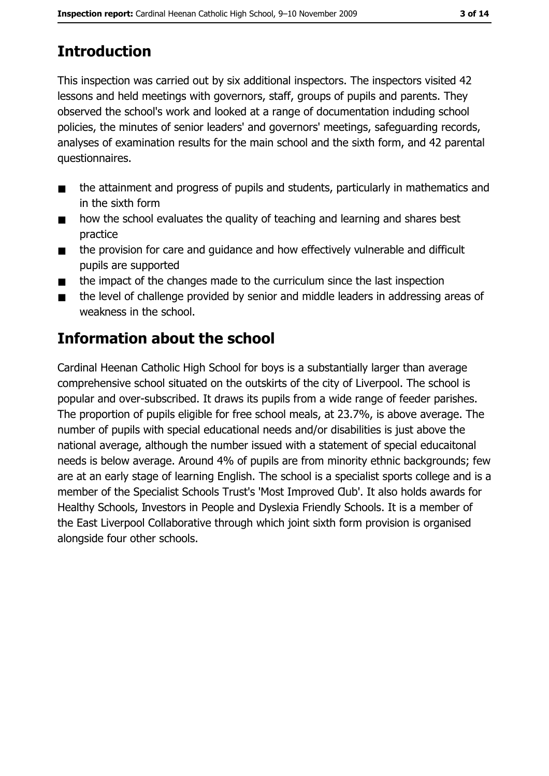# **Introduction**

This inspection was carried out by six additional inspectors. The inspectors visited 42 lessons and held meetings with governors, staff, groups of pupils and parents. They observed the school's work and looked at a range of documentation induding school policies, the minutes of senior leaders' and governors' meetings, safeguarding records, analyses of examination results for the main school and the sixth form, and 42 parental questionnaires.

- the attainment and progress of pupils and students, particularly in mathematics and  $\blacksquare$ in the sixth form
- how the school evaluates the quality of teaching and learning and shares best  $\blacksquare$ practice
- the provision for care and quidance and how effectively vulnerable and difficult  $\blacksquare$ pupils are supported
- the impact of the changes made to the curriculum since the last inspection  $\blacksquare$
- the level of challenge provided by senior and middle leaders in addressing areas of  $\blacksquare$ weakness in the school.

# Information about the school

Cardinal Heenan Catholic High School for boys is a substantially larger than average comprehensive school situated on the outskirts of the city of Liverpool. The school is popular and over-subscribed. It draws its pupils from a wide range of feeder parishes. The proportion of pupils eligible for free school meals, at 23.7%, is above average. The number of pupils with special educational needs and/or disabilities is just above the national average, although the number issued with a statement of special educaitonal needs is below average. Around 4% of pupils are from minority ethnic backgrounds; few are at an early stage of learning English. The school is a specialist sports college and is a member of the Specialist Schools Trust's 'Most Improved Qub'. It also holds awards for Healthy Schools, Investors in People and Dyslexia Friendly Schools. It is a member of the East Liverpool Collaborative through which joint sixth form provision is organised alongside four other schools.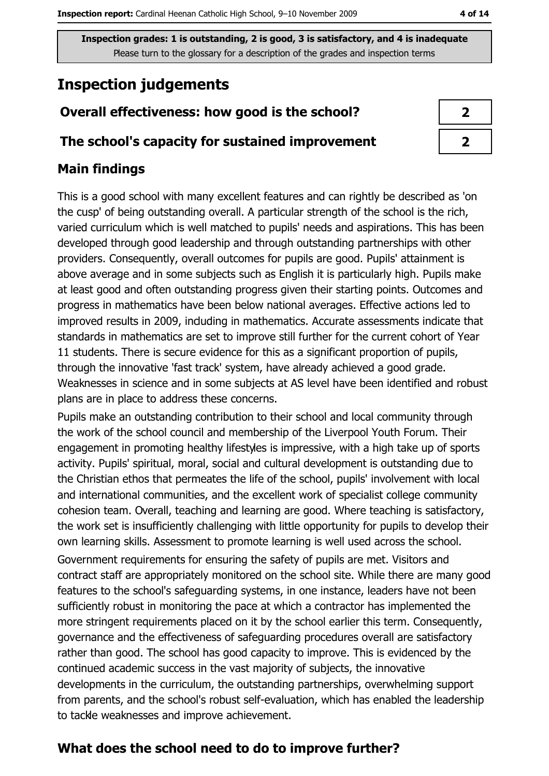## **Inspection judgements**

#### Overall effectiveness: how good is the school?

#### The school's capacity for sustained improvement

#### **Main findings**

This is a good school with many excellent features and can rightly be described as 'on the cusp' of being outstanding overall. A particular strength of the school is the rich, varied curriculum which is well matched to pupils' needs and aspirations. This has been developed through good leadership and through outstanding partnerships with other providers. Consequently, overall outcomes for pupils are good. Pupils' attainment is above average and in some subjects such as English it is particularly high. Pupils make at least good and often outstanding progress given their starting points. Outcomes and progress in mathematics have been below national averages. Effective actions led to improved results in 2009, induding in mathematics. Accurate assessments indicate that standards in mathematics are set to improve still further for the current cohort of Year 11 students. There is secure evidence for this as a significant proportion of pupils, through the innovative 'fast track' system, have already achieved a good grade. Weaknesses in science and in some subjects at AS level have been identified and robust plans are in place to address these concerns.

Pupils make an outstanding contribution to their school and local community through the work of the school council and membership of the Liverpool Youth Forum. Their engagement in promoting healthy lifestyles is impressive, with a high take up of sports activity. Pupils' spiritual, moral, social and cultural development is outstanding due to the Christian ethos that permeates the life of the school, pupils' involvement with local and international communities, and the excellent work of specialist college community cohesion team. Overall, teaching and learning are good. Where teaching is satisfactory, the work set is insufficiently challenging with little opportunity for pupils to develop their own learning skills. Assessment to promote learning is well used across the school.

Government requirements for ensuring the safety of pupils are met. Visitors and contract staff are appropriately monitored on the school site. While there are many good features to the school's safeguarding systems, in one instance, leaders have not been sufficiently robust in monitoring the pace at which a contractor has implemented the more stringent requirements placed on it by the school earlier this term. Consequently, governance and the effectiveness of safeguarding procedures overall are satisfactory rather than good. The school has good capacity to improve. This is evidenced by the continued academic success in the vast majority of subjects, the innovative developments in the curriculum, the outstanding partnerships, overwhelming support from parents, and the school's robust self-evaluation, which has enabled the leadership to tackle weaknesses and improve achievement.

## What does the school need to do to improve further?

 $\overline{2}$ 

 $\overline{2}$ 

4 of 14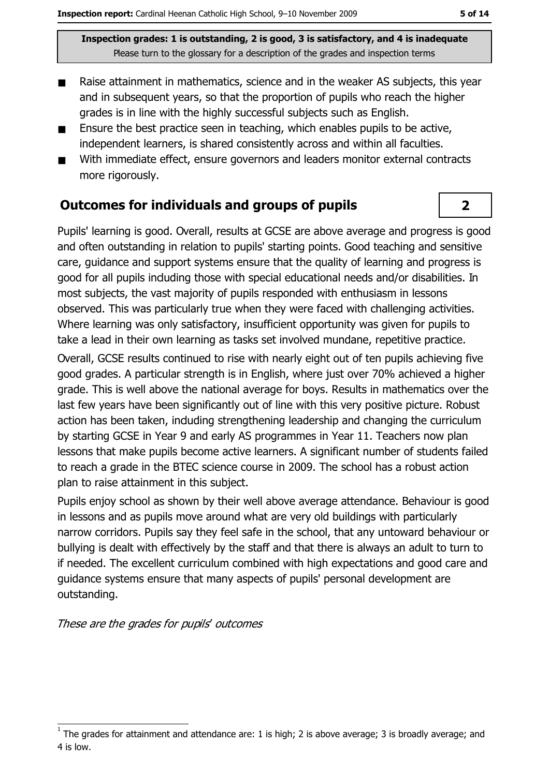- Raise attainment in mathematics, science and in the weaker AS subjects, this year  $\blacksquare$ and in subsequent years, so that the proportion of pupils who reach the higher grades is in line with the highly successful subjects such as English.
- Ensure the best practice seen in teaching, which enables pupils to be active,  $\blacksquare$ independent learners, is shared consistently across and within all faculties.
- With immediate effect, ensure governors and leaders monitor external contracts  $\blacksquare$ more rigorously.

#### **Outcomes for individuals and groups of pupils**

Pupils' learning is good. Overall, results at GCSE are above average and progress is good and often outstanding in relation to pupils' starting points. Good teaching and sensitive care, guidance and support systems ensure that the quality of learning and progress is good for all pupils induding those with special educational needs and/or disabilities. In most subjects, the vast majority of pupils responded with enthusiasm in lessons observed. This was particularly true when they were faced with challenging activities. Where learning was only satisfactory, insufficient opportunity was given for pupils to take a lead in their own learning as tasks set involved mundane, repetitive practice.

Overall, GCSE results continued to rise with nearly eight out of ten pupils achieving five good grades. A particular strength is in English, where just over 70% achieved a higher grade. This is well above the national average for boys. Results in mathematics over the last few years have been significantly out of line with this very positive picture. Robust action has been taken, induding strengthening leadership and changing the curriculum by starting GCSE in Year 9 and early AS programmes in Year 11. Teachers now plan lessons that make pupils become active learners. A significant number of students failed to reach a grade in the BTEC science course in 2009. The school has a robust action plan to raise attainment in this subject.

Pupils enjoy school as shown by their well above average attendance. Behaviour is good in lessons and as pupils move around what are very old buildings with particularly narrow corridors. Pupils say they feel safe in the school, that any untoward behaviour or bullying is dealt with effectively by the staff and that there is always an adult to turn to if needed. The excellent curriculum combined with high expectations and good care and quidance systems ensure that many aspects of pupils' personal development are outstanding.

These are the grades for pupils' outcomes

 $\overline{2}$ 

The grades for attainment and attendance are: 1 is high; 2 is above average; 3 is broadly average; and 4 is low.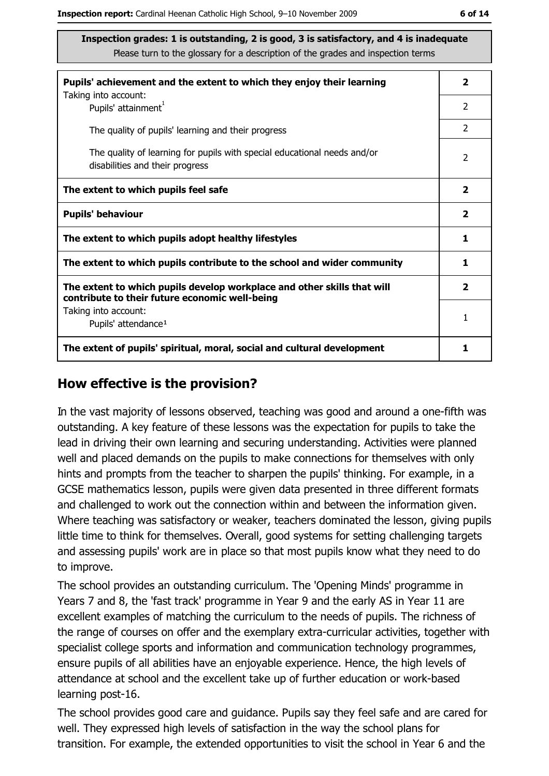| Pupils' achievement and the extent to which they enjoy their learning                                                     | $\mathbf{2}$            |
|---------------------------------------------------------------------------------------------------------------------------|-------------------------|
| Taking into account:<br>Pupils' attainment <sup>1</sup>                                                                   | $\overline{2}$          |
| The quality of pupils' learning and their progress                                                                        | $\overline{2}$          |
| The quality of learning for pupils with special educational needs and/or<br>disabilities and their progress               | $\overline{2}$          |
| The extent to which pupils feel safe                                                                                      | $\overline{\mathbf{2}}$ |
| <b>Pupils' behaviour</b>                                                                                                  | $\mathbf{2}$            |
| The extent to which pupils adopt healthy lifestyles                                                                       | 1                       |
| The extent to which pupils contribute to the school and wider community                                                   | 1                       |
| The extent to which pupils develop workplace and other skills that will<br>contribute to their future economic well-being | $\overline{\mathbf{2}}$ |
| Taking into account:<br>Pupils' attendance <sup>1</sup>                                                                   | 1                       |
| The extent of pupils' spiritual, moral, social and cultural development                                                   | 1                       |

#### How effective is the provision?

In the vast majority of lessons observed, teaching was good and around a one-fifth was outstanding. A key feature of these lessons was the expectation for pupils to take the lead in driving their own learning and securing understanding. Activities were planned well and placed demands on the pupils to make connections for themselves with only hints and prompts from the teacher to sharpen the pupils' thinking. For example, in a GCSE mathematics lesson, pupils were given data presented in three different formats and challenged to work out the connection within and between the information given. Where teaching was satisfactory or weaker, teachers dominated the lesson, giving pupils little time to think for themselves. Overall, good systems for setting challenging targets and assessing pupils' work are in place so that most pupils know what they need to do to improve.

The school provides an outstanding curriculum. The 'Opening Minds' programme in Years 7 and 8, the 'fast track' programme in Year 9 and the early AS in Year 11 are excellent examples of matching the curriculum to the needs of pupils. The richness of the range of courses on offer and the exemplary extra-curricular activities, together with specialist college sports and information and communication technology programmes, ensure pupils of all abilities have an enjoyable experience. Hence, the high levels of attendance at school and the excellent take up of further education or work-based learning post-16.

The school provides good care and guidance. Pupils say they feel safe and are cared for well. They expressed high levels of satisfaction in the way the school plans for transition. For example, the extended opportunities to visit the school in Year 6 and the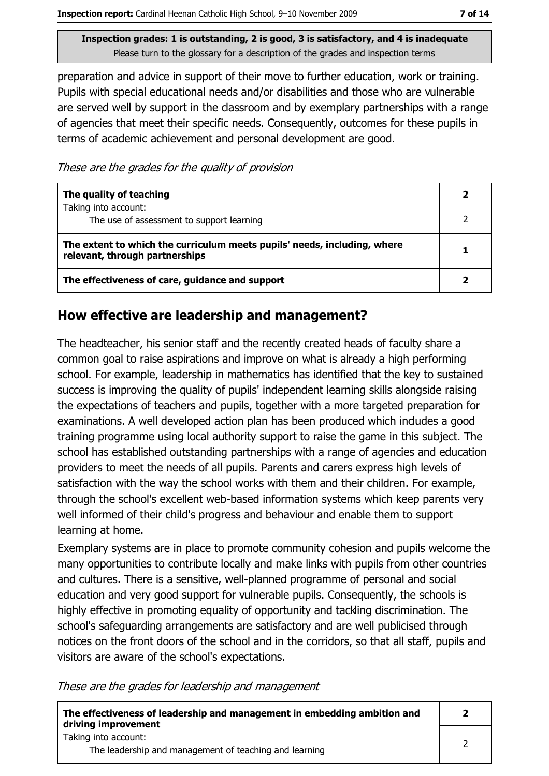preparation and advice in support of their move to further education, work or training. Pupils with special educational needs and/or disabilities and those who are vulnerable are served well by support in the dassroom and by exemplary partnerships with a range of agencies that meet their specific needs. Consequently, outcomes for these pupils in terms of academic achievement and personal development are good.

These are the grades for the quality of provision

| The quality of teaching                                                                                    |  |
|------------------------------------------------------------------------------------------------------------|--|
| Taking into account:<br>The use of assessment to support learning                                          |  |
| The extent to which the curriculum meets pupils' needs, including, where<br>relevant, through partnerships |  |
| The effectiveness of care, guidance and support                                                            |  |

#### How effective are leadership and management?

The headteacher, his senior staff and the recently created heads of faculty share a common goal to raise aspirations and improve on what is already a high performing school. For example, leadership in mathematics has identified that the key to sustained success is improving the quality of pupils' independent learning skills alongside raising the expectations of teachers and pupils, together with a more targeted preparation for examinations. A well developed action plan has been produced which indudes a good training programme using local authority support to raise the game in this subject. The school has established outstanding partnerships with a range of agencies and education providers to meet the needs of all pupils. Parents and carers express high levels of satisfaction with the way the school works with them and their children. For example, through the school's excellent web-based information systems which keep parents very well informed of their child's progress and behaviour and enable them to support learning at home.

Exemplary systems are in place to promote community cohesion and pupils welcome the many opportunities to contribute locally and make links with pupils from other countries and cultures. There is a sensitive, well-planned programme of personal and social education and very good support for vulnerable pupils. Consequently, the schools is highly effective in promoting equality of opportunity and tackling discrimination. The school's safeguarding arrangements are satisfactory and are well publicised through notices on the front doors of the school and in the corridors, so that all staff, pupils and visitors are aware of the school's expectations.

These are the grades for leadership and management

| The effectiveness of leadership and management in embedding ambition and<br>driving improvement |  |
|-------------------------------------------------------------------------------------------------|--|
| Taking into account:                                                                            |  |
| The leadership and management of teaching and learning                                          |  |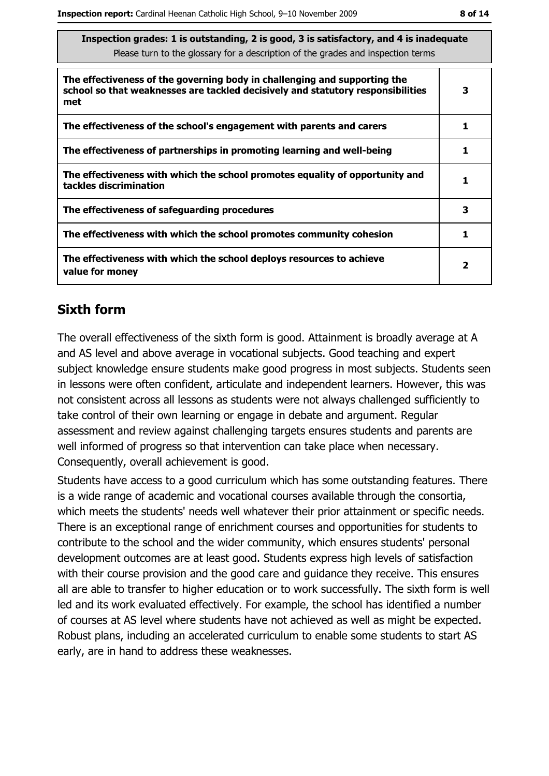| Inspection grades: 1 is outstanding, 2 is good, 3 is satisfactory, and 4 is inadequate<br>Please turn to the glossary for a description of the grades and inspection terms |   |  |
|----------------------------------------------------------------------------------------------------------------------------------------------------------------------------|---|--|
| The effectiveness of the governing body in challenging and supporting the<br>school so that weaknesses are tackled decisively and statutory responsibilities<br>met        | 3 |  |
| The effectiveness of the school's engagement with parents and carers                                                                                                       | 1 |  |
| The effectiveness of partnerships in promoting learning and well-being                                                                                                     | 1 |  |
| The effectiveness with which the school promotes equality of opportunity and<br>tackles discrimination                                                                     | 1 |  |
| The effectiveness of safeguarding procedures                                                                                                                               | 3 |  |
| The effectiveness with which the school promotes community cohesion                                                                                                        | 1 |  |
| The effectiveness with which the school deploys resources to achieve<br>value for money                                                                                    | 2 |  |

## **Sixth form**

The overall effectiveness of the sixth form is good. Attainment is broadly average at A and AS level and above average in vocational subjects. Good teaching and expert subject knowledge ensure students make good progress in most subjects. Students seen in lessons were often confident, articulate and independent learners. However, this was not consistent across all lessons as students were not always challenged sufficiently to take control of their own learning or engage in debate and argument. Regular assessment and review against challenging targets ensures students and parents are well informed of progress so that intervention can take place when necessary. Consequently, overall achievement is good.

Students have access to a good curriculum which has some outstanding features. There is a wide range of academic and vocational courses available through the consortia, which meets the students' needs well whatever their prior attainment or specific needs. There is an exceptional range of enrichment courses and opportunities for students to contribute to the school and the wider community, which ensures students' personal development outcomes are at least good. Students express high levels of satisfaction with their course provision and the good care and guidance they receive. This ensures all are able to transfer to higher education or to work successfully. The sixth form is well led and its work evaluated effectively. For example, the school has identified a number of courses at AS level where students have not achieved as well as might be expected. Robust plans, induding an accelerated curriculum to enable some students to start AS early, are in hand to address these weaknesses.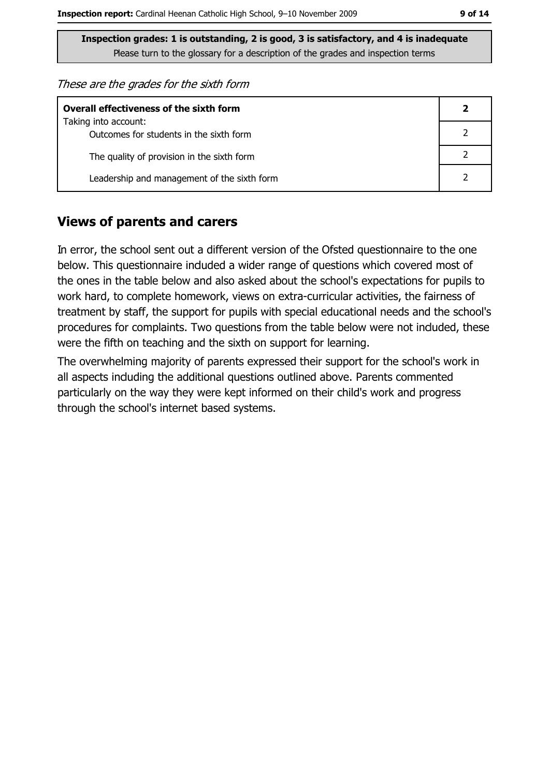These are the grades for the sixth form

| <b>Overall effectiveness of the sixth form</b> |  |  |
|------------------------------------------------|--|--|
| Taking into account:                           |  |  |
| Outcomes for students in the sixth form        |  |  |
| The quality of provision in the sixth form     |  |  |
| Leadership and management of the sixth form    |  |  |

#### **Views of parents and carers**

In error, the school sent out a different version of the Ofsted questionnaire to the one below. This questionnaire induded a wider range of questions which covered most of the ones in the table below and also asked about the school's expectations for pupils to work hard, to complete homework, views on extra-curricular activities, the fairness of treatment by staff, the support for pupils with special educational needs and the school's procedures for complaints. Two questions from the table below were not induded, these were the fifth on teaching and the sixth on support for learning.

The overwhelming majority of parents expressed their support for the school's work in all aspects induding the additional questions outlined above. Parents commented particularly on the way they were kept informed on their child's work and progress through the school's internet based systems.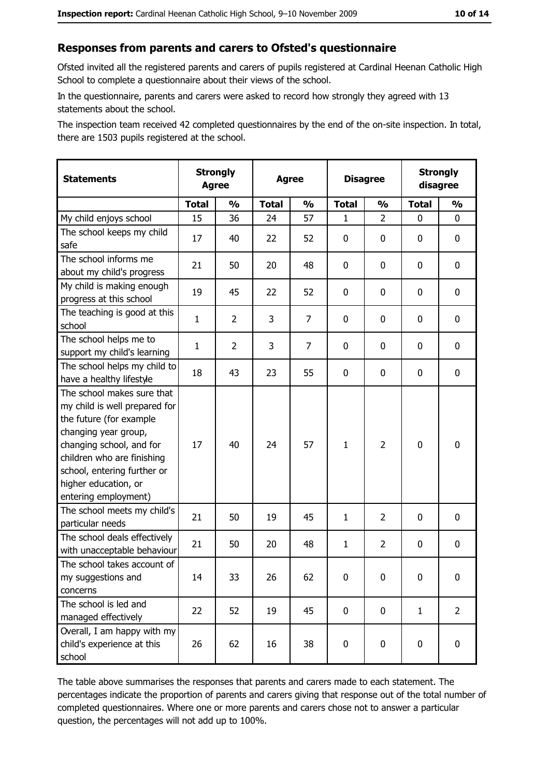## Responses from parents and carers to Ofsted's questionnaire

Ofsted invited all the registered parents and carers of pupils registered at Cardinal Heenan Catholic High School to complete a questionnaire about their views of the school.

In the questionnaire, parents and carers were asked to record how strongly they agreed with 13 statements about the school.

The inspection team received 42 completed questionnaires by the end of the on-site inspection. In total, there are 1503 pupils registered at the school.

| <b>Statements</b>                                                                                                                                                                                                                                       | <b>Strongly</b><br><b>Agree</b> |                | <b>Agree</b> |                | <b>Disagree</b> |                | <b>Strongly</b><br>disagree |                |
|---------------------------------------------------------------------------------------------------------------------------------------------------------------------------------------------------------------------------------------------------------|---------------------------------|----------------|--------------|----------------|-----------------|----------------|-----------------------------|----------------|
|                                                                                                                                                                                                                                                         | <b>Total</b>                    | $\frac{1}{2}$  | <b>Total</b> | $\frac{1}{2}$  | <b>Total</b>    | $\frac{0}{0}$  | <b>Total</b>                | $\frac{1}{2}$  |
| My child enjoys school                                                                                                                                                                                                                                  | 15                              | 36             | 24           | 57             | 1               | $\overline{2}$ | 0                           | 0              |
| The school keeps my child<br>safe                                                                                                                                                                                                                       | 17                              | 40             | 22           | 52             | $\mathbf 0$     | 0              | 0                           | 0              |
| The school informs me<br>about my child's progress                                                                                                                                                                                                      | 21                              | 50             | 20           | 48             | $\mathbf 0$     | 0              | 0                           | 0              |
| My child is making enough<br>progress at this school                                                                                                                                                                                                    | 19                              | 45             | 22           | 52             | $\mathbf 0$     | 0              | 0                           | 0              |
| The teaching is good at this<br>school                                                                                                                                                                                                                  | $\mathbf{1}$                    | $\overline{2}$ | 3            | $\overline{7}$ | $\mathbf 0$     | 0              | $\mathbf{0}$                | 0              |
| The school helps me to<br>support my child's learning                                                                                                                                                                                                   | $\mathbf{1}$                    | $\overline{2}$ | 3            | $\overline{7}$ | $\mathbf 0$     | 0              | 0                           | 0              |
| The school helps my child to<br>have a healthy lifestyle                                                                                                                                                                                                | 18                              | 43             | 23           | 55             | $\mathbf 0$     | 0              | 0                           | 0              |
| The school makes sure that<br>my child is well prepared for<br>the future (for example<br>changing year group,<br>changing school, and for<br>children who are finishing<br>school, entering further or<br>higher education, or<br>entering employment) | 17                              | 40             | 24           | 57             | $\mathbf{1}$    | $\overline{2}$ | 0                           | 0              |
| The school meets my child's<br>particular needs                                                                                                                                                                                                         | 21                              | 50             | 19           | 45             | $\mathbf{1}$    | $\overline{2}$ | 0                           | 0              |
| The school deals effectively<br>with unacceptable behaviour                                                                                                                                                                                             | 21                              | 50             | 20           | 48             | $\mathbf{1}$    | $\overline{2}$ | 0                           | 0              |
| The school takes account of<br>my suggestions and<br>concerns                                                                                                                                                                                           | 14                              | 33             | 26           | 62             | $\mathbf 0$     | 0              | 0                           | 0              |
| The school is led and<br>managed effectively                                                                                                                                                                                                            | 22                              | 52             | 19           | 45             | $\mathbf 0$     | 0              | $\mathbf{1}$                | $\overline{2}$ |
| Overall, I am happy with my<br>child's experience at this<br>school                                                                                                                                                                                     | 26                              | 62             | 16           | 38             | $\pmb{0}$       | 0              | 0                           | 0              |

The table above summarises the responses that parents and carers made to each statement. The percentages indicate the proportion of parents and carers giving that response out of the total number of completed questionnaires. Where one or more parents and carers chose not to answer a particular question, the percentages will not add up to 100%.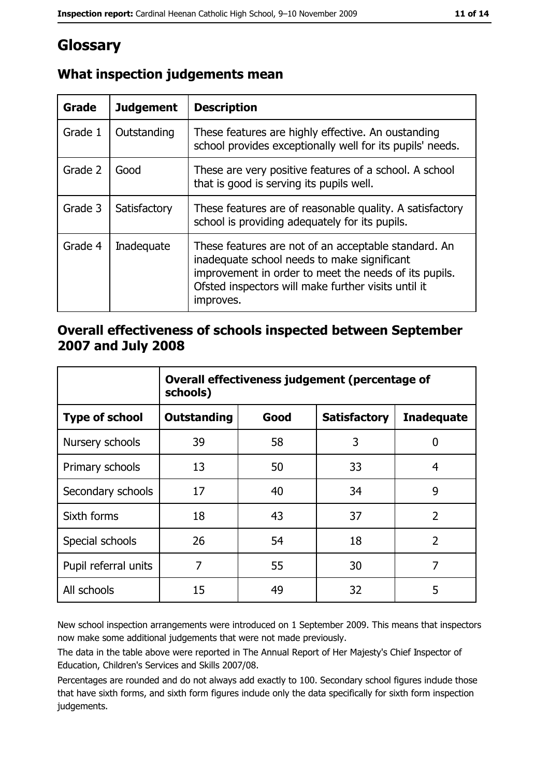## Glossary

| Grade   | <b>Judgement</b> | <b>Description</b>                                                                                                                                                                                                               |  |
|---------|------------------|----------------------------------------------------------------------------------------------------------------------------------------------------------------------------------------------------------------------------------|--|
| Grade 1 | Outstanding      | These features are highly effective. An oustanding<br>school provides exceptionally well for its pupils' needs.                                                                                                                  |  |
| Grade 2 | Good             | These are very positive features of a school. A school<br>that is good is serving its pupils well.                                                                                                                               |  |
| Grade 3 | Satisfactory     | These features are of reasonable quality. A satisfactory<br>school is providing adequately for its pupils.                                                                                                                       |  |
| Grade 4 | Inadequate       | These features are not of an acceptable standard. An<br>inadequate school needs to make significant<br>improvement in order to meet the needs of its pupils.<br>Ofsted inspectors will make further visits until it<br>improves. |  |

## What inspection judgements mean

#### Overall effectiveness of schools inspected between September 2007 and July 2008

|                       | Overall effectiveness judgement (percentage of<br>schools) |      |                     |                   |
|-----------------------|------------------------------------------------------------|------|---------------------|-------------------|
| <b>Type of school</b> | Outstanding                                                | Good | <b>Satisfactory</b> | <b>Inadequate</b> |
| Nursery schools       | 39                                                         | 58   | 3                   | 0                 |
| Primary schools       | 13                                                         | 50   | 33                  | 4                 |
| Secondary schools     | 17                                                         | 40   | 34                  | 9                 |
| Sixth forms           | 18                                                         | 43   | 37                  | $\overline{2}$    |
| Special schools       | 26                                                         | 54   | 18                  | $\overline{2}$    |
| Pupil referral units  | 7                                                          | 55   | 30                  | 7                 |
| All schools           | 15                                                         | 49   | 32                  | 5                 |

New school inspection arrangements were introduced on 1 September 2009. This means that inspectors now make some additional judgements that were not made previously.

The data in the table above were reported in The Annual Report of Her Majesty's Chief Inspector of Education, Children's Services and Skills 2007/08.

Percentages are rounded and do not always add exactly to 100. Secondary school figures indude those that have sixth forms, and sixth form figures indude only the data specifically for sixth form inspection judgements.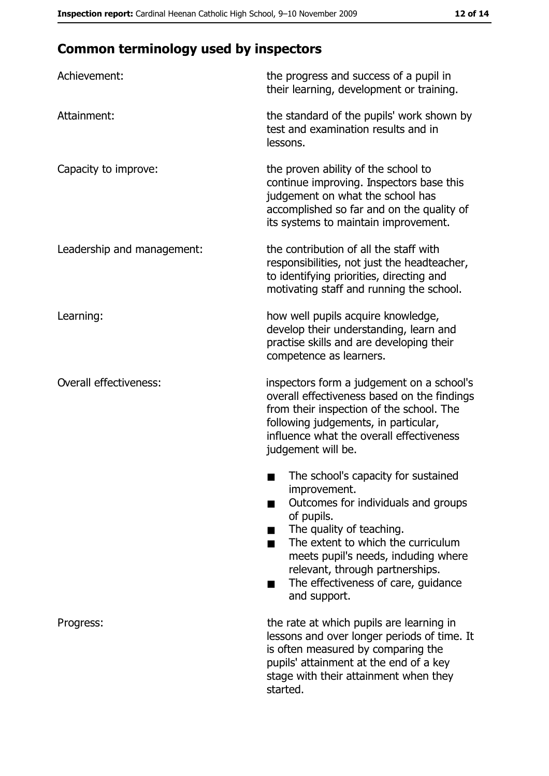# **Common terminology used by inspectors**

| Achievement:                  | the progress and success of a pupil in<br>their learning, development or training.                                                                                                                                                                                                                          |
|-------------------------------|-------------------------------------------------------------------------------------------------------------------------------------------------------------------------------------------------------------------------------------------------------------------------------------------------------------|
| Attainment:                   | the standard of the pupils' work shown by<br>test and examination results and in<br>lessons.                                                                                                                                                                                                                |
| Capacity to improve:          | the proven ability of the school to<br>continue improving. Inspectors base this<br>judgement on what the school has<br>accomplished so far and on the quality of<br>its systems to maintain improvement.                                                                                                    |
| Leadership and management:    | the contribution of all the staff with<br>responsibilities, not just the headteacher,<br>to identifying priorities, directing and<br>motivating staff and running the school.                                                                                                                               |
| Learning:                     | how well pupils acquire knowledge,<br>develop their understanding, learn and<br>practise skills and are developing their<br>competence as learners.                                                                                                                                                         |
| <b>Overall effectiveness:</b> | inspectors form a judgement on a school's<br>overall effectiveness based on the findings<br>from their inspection of the school. The<br>following judgements, in particular,<br>influence what the overall effectiveness<br>judgement will be.                                                              |
|                               | The school's capacity for sustained<br>improvement.<br>Outcomes for individuals and groups<br>of pupils.<br>The quality of teaching.<br>The extent to which the curriculum<br>meets pupil's needs, induding where<br>relevant, through partnerships.<br>The effectiveness of care, guidance<br>and support. |
| Progress:                     | the rate at which pupils are learning in<br>lessons and over longer periods of time. It<br>is often measured by comparing the<br>pupils' attainment at the end of a key<br>stage with their attainment when they<br>started.                                                                                |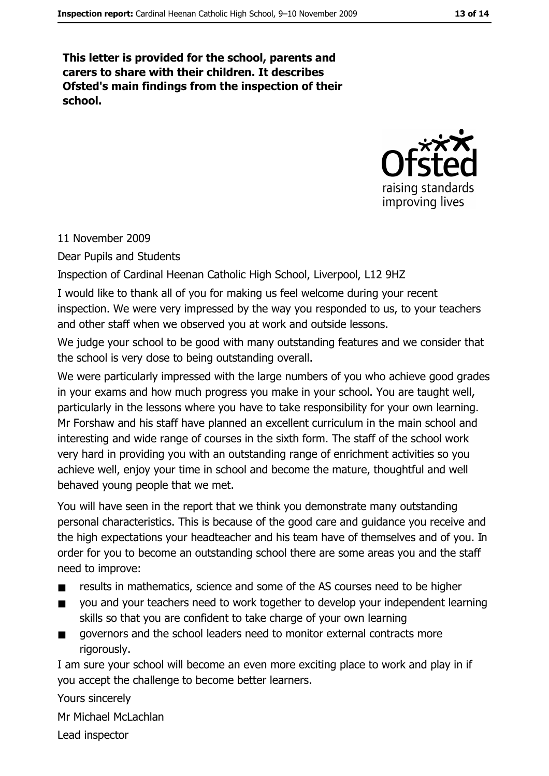This letter is provided for the school, parents and carers to share with their children. It describes Ofsted's main findings from the inspection of their school.



#### 11 November 2009

Dear Pupils and Students

Inspection of Cardinal Heenan Catholic High School, Liverpool, L12 9HZ

I would like to thank all of you for making us feel welcome during your recent inspection. We were very impressed by the way you responded to us, to your teachers and other staff when we observed you at work and outside lessons.

We judge your school to be good with many outstanding features and we consider that the school is very dose to being outstanding overall.

We were particularly impressed with the large numbers of you who achieve good grades in your exams and how much progress you make in your school. You are taught well, particularly in the lessons where you have to take responsibility for your own learning. Mr Forshaw and his staff have planned an excellent curriculum in the main school and interesting and wide range of courses in the sixth form. The staff of the school work very hard in providing you with an outstanding range of enrichment activities so you achieve well, enjoy your time in school and become the mature, thoughtful and well behaved young people that we met.

You will have seen in the report that we think you demonstrate many outstanding personal characteristics. This is because of the good care and guidance you receive and the high expectations your headteacher and his team have of themselves and of you. In order for you to become an outstanding school there are some areas you and the staff need to improve:

- results in mathematics, science and some of the AS courses need to be higher  $\blacksquare$
- you and your teachers need to work together to develop your independent learning skills so that you are confident to take charge of your own learning
- governors and the school leaders need to monitor external contracts more rigorously.

I am sure your school will become an even more exciting place to work and play in if you accept the challenge to become better learners.

Yours sincerely

Mr Michael McLachlan

Lead inspector